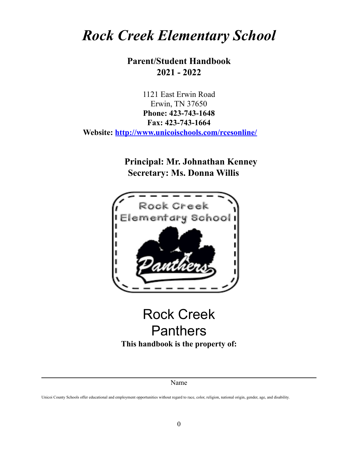# *Rock Creek Elementary School*

# **Parent/Student Handbook 2021 - 2022**

1121 East Erwin Road Erwin, TN 37650 **Phone: 423-743-1648 Fax: 423-743-1664 Website: <http://www.unicoischools.com/rcesonline/>**

> **Principal: Mr. Johnathan Kenney Secretary: Ms. Donna Willis**



# Rock Creek Panthers **This handbook is the property of:**

#### Name

Unicoi County Schools offer educational and employment opportunities without regard to race, color, religion, national origin, gender, age, and disability.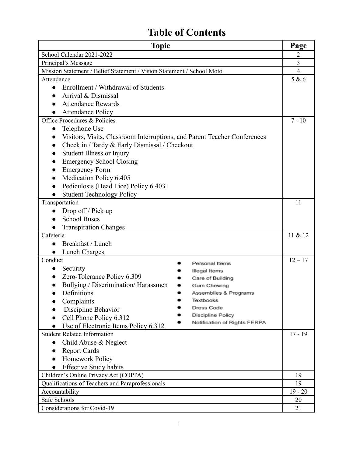# **Table of Contents**

| <b>Topic</b>                                                              | Page           |
|---------------------------------------------------------------------------|----------------|
| School Calendar 2021-2022                                                 | 2              |
| Principal's Message                                                       | 3              |
| Mission Statement / Belief Statement / Vision Statement / School Moto     | $\overline{4}$ |
| Attendance                                                                | 5 & 6          |
| Enrollment / Withdrawal of Students<br>$\bullet$                          |                |
| Arrival & Dismissal                                                       |                |
| <b>Attendance Rewards</b>                                                 |                |
| <b>Attendance Policy</b>                                                  |                |
| Office Procedures & Policies                                              | $7 - 10$       |
| Telephone Use<br>$\bullet$                                                |                |
| Visitors, Visits, Classroom Interruptions, and Parent Teacher Conferences |                |
| Check in / Tardy & Early Dismissal / Checkout                             |                |
| Student Illness or Injury                                                 |                |
| <b>Emergency School Closing</b>                                           |                |
| <b>Emergency Form</b>                                                     |                |
| Medication Policy 6.405<br>$\bullet$                                      |                |
| Pediculosis (Head Lice) Policy 6.4031                                     |                |
| <b>Student Technology Policy</b>                                          |                |
| Transportation                                                            | 11             |
| Drop off / Pick up                                                        |                |
| <b>School Buses</b>                                                       |                |
| <b>Transpiration Changes</b>                                              |                |
| Cafeteria                                                                 | 11 & 12        |
| Breakfast / Lunch<br>$\bullet$                                            |                |
| <b>Lunch Charges</b><br>$\bullet$                                         |                |
| Conduct<br>Personal Items                                                 | $12 - 17$      |
| Security<br>$\bullet$<br>Illegal Items                                    |                |
| Zero-Tolerance Policy 6.309<br>$\bullet$<br>Care of Building              |                |
| Bullying / Discrimination/ Harassmen<br>Gum Chewing                       |                |
| Definitions<br>Assemblies & Programs                                      |                |
| Complaints<br>Textbooks                                                   |                |
| Dress Code<br>Discipline Behavior                                         |                |
| Discipline Policy<br>Cell Phone Policy 6.312                              |                |
| Notification of Rights FERPA<br>Use of Electronic Items Policy 6.312      |                |
| <b>Student Related Information</b>                                        | $17 - 19$      |
| Child Abuse & Neglect<br>$\bullet$                                        |                |
| <b>Report Cards</b><br>$\bullet$                                          |                |
| Homework Policy<br>$\bullet$                                              |                |
| <b>Effective Study habits</b>                                             |                |
| Children's Online Privacy Act (COPPA)                                     | 19             |
| Qualifications of Teachers and Paraprofessionals                          | 19             |
| Accountability                                                            | $19 - 20$      |
| Safe Schools                                                              | 20             |
| Considerations for Covid-19                                               | 21             |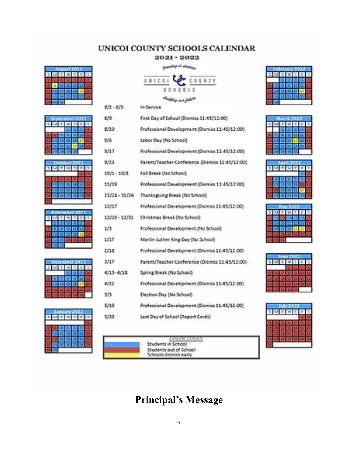# UNICOI COUNTY SCHOOLS CALENDAR

# 2021-2022 **And all of the America**

SCHOOLS Classica are politi

UNICOL

In Service

 $8/2 - 8/5$ 

**COUNTY** 

| 出版            | First Day of School (Dismiss 11:45/12:00)       |
|---------------|-------------------------------------------------|
| 8/10          | Professional Development (Dismiss 11:45/12:00)  |
| 2/6           | Labor Day (No School)                           |
| 9/17          | Professional Development (Dismiss 11:45/12:00)  |
| 9/23          | Parent/Teacher Conference (Dismiss 11:45/12:00) |
| 10/1 - 10/8   | Fall Break (No School)                          |
| 11/19         | Professional Development (Dismiss 12:45/12:00)  |
| 11/24 - 11/26 | Thanks giving Break (No School)                 |
| 12/17         | Professional Development (Dismiss 11:45/12:00)  |
| 12/20 - 12/31 | Christmas Break (No School)                     |
| 1/3           | Professional Development (No School)            |
| 1,717         | Martin Luther King Day (No School)              |
| 2/18          | Professional Development (Dismiss 11:45/12:00)  |
| 3.617         | Parent/Teacher Conference (Dismiss 11:45/12:00) |
| 4/15-4/18     | Spring Break (No School)                        |
| 4,722         | Professional Development (Dismiss 11:45/12:00)  |
| 5/3           | Election Day (No School)                        |
| 5/19          | Professional Development (Dismits 11:45/12:00)  |
| 5/20          | Last Daviel School (Report Cards)               |

January 2022

| <b>AND 18</b> | 白明 道<br>-- |
|---------------|------------|
|               |            |

# **Principal's Message**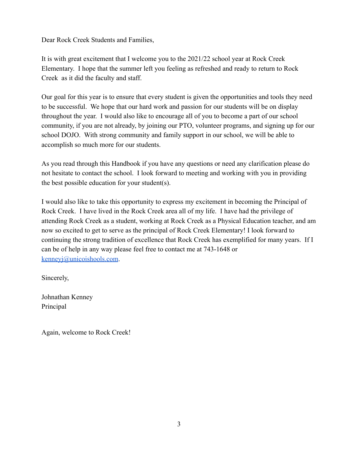Dear Rock Creek Students and Families,

It is with great excitement that I welcome you to the 2021/22 school year at Rock Creek Elementary. I hope that the summer left you feeling as refreshed and ready to return to Rock Creek as it did the faculty and staff.

Our goal for this year is to ensure that every student is given the opportunities and tools they need to be successful. We hope that our hard work and passion for our students will be on display throughout the year. I would also like to encourage all of you to become a part of our school community, if you are not already, by joining our PTO, volunteer programs, and signing up for our school DOJO. With strong community and family support in our school, we will be able to accomplish so much more for our students.

As you read through this Handbook if you have any questions or need any clarification please do not hesitate to contact the school. I look forward to meeting and working with you in providing the best possible education for your student(s).

I would also like to take this opportunity to express my excitement in becoming the Principal of Rock Creek. I have lived in the Rock Creek area all of my life. I have had the privilege of attending Rock Creek as a student, working at Rock Creek as a Physical Education teacher, and am now so excited to get to serve as the principal of Rock Creek Elementary! I look forward to continuing the strong tradition of excellence that Rock Creek has exemplified for many years. If I can be of help in any way please feel free to contact me at 743-1648 or [kenneyj@unicoishools.com](mailto:kenneyj@unicoishools.com).

Sincerely,

Johnathan Kenney Principal

Again, welcome to Rock Creek!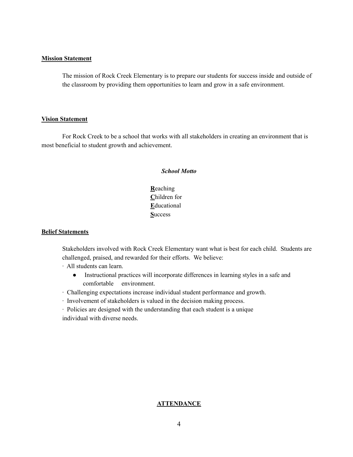#### **Mission Statement**

The mission of Rock Creek Elementary is to prepare our students for success inside and outside of the classroom by providing them opportunities to learn and grow in a safe environment.

#### **Vision Statement**

For Rock Creek to be a school that works with all stakeholders in creating an environment that is most beneficial to student growth and achievement.

#### *School Motto*

**R**eaching **C**hildren for **E**ducational **S**uccess

#### **Belief Statements**

Stakeholders involved with Rock Creek Elementary want what is best for each child. Students are challenged, praised, and rewarded for their efforts. We believe:

∙ All students can learn.

- Instructional practices will incorporate differences in learning styles in a safe and comfortable environment.
- ∙ Challenging expectations increase individual student performance and growth.
- ∙ Involvement of stakeholders is valued in the decision making process.

∙ Policies are designed with the understanding that each student is a unique individual with diverse needs.

#### **ATTENDANCE**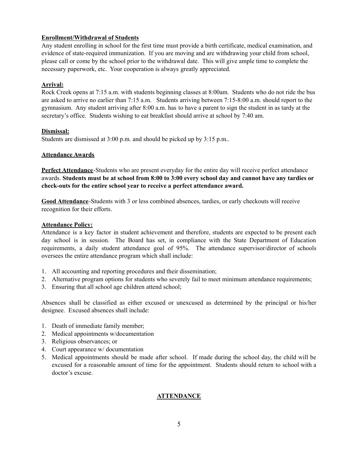# **Enrollment/Withdrawal of Students**

Any student enrolling in school for the first time must provide a birth certificate, medical examination, and evidence of state-required immunization. If you are moving and are withdrawing your child from school, please call or come by the school prior to the withdrawal date. This will give ample time to complete the necessary paperwork, etc. Your cooperation is always greatly appreciated.

## **Arrival:**

Rock Creek opens at 7:15 a.m. with students beginning classes at 8:00am. Students who do not ride the bus are asked to arrive no earlier than 7:15 a.m. Students arriving between 7:15-8:00 a.m. should report to the gymnasium. Any student arriving after 8:00 a.m. has to have a parent to sign the student in as tardy at the secretary's office. Students wishing to eat breakfast should arrive at school by 7:40 am.

#### **Dismissal:**

Students are dismissed at 3:00 p.m. and should be picked up by 3:15 p.m..

## **Attendance Awards**

**Perfect Attendance**-Students who are present everyday for the entire day will receive perfect attendance awards. Students must be at school from 8:00 to 3:00 every school day and cannot have any tardies or **check-outs for the entire school year to receive a perfect attendance award.**

**Good Attendance**-Students with 3 or less combined absences, tardies, or early checkouts will receive recognition for their efforts.

#### **Attendance Policy:**

Attendance is a key factor in student achievement and therefore, students are expected to be present each day school is in session. The Board has set, in compliance with the State Department of Education requirements, a daily student attendance goal of 95%. The attendance supervisor/director of schools oversees the entire attendance program which shall include:

- 1. All accounting and reporting procedures and their dissemination;
- 2. Alternative program options for students who severely fail to meet minimum attendance requirements;
- 3. Ensuring that all school age children attend school;

Absences shall be classified as either excused or unexcused as determined by the principal or his/her designee. Excused absences shall include:

- 1. Death of immediate family member;
- 2. Medical appointments w/documentation
- 3. Religious observances; or
- 4. Court appearance w/ documentation
- 5. Medical appointments should be made after school. If made during the school day, the child will be excused for a reasonable amount of time for the appointment. Students should return to school with a doctor's excuse.

#### **ATTENDANCE**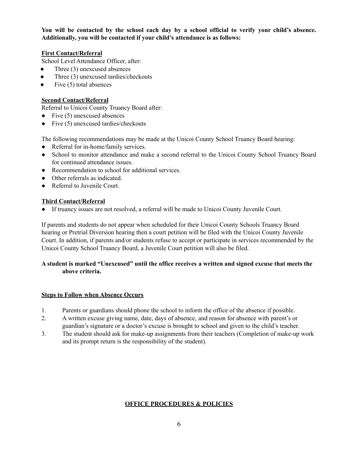**You will be contacted by the school each day by a school official to verify your child's absence. Additionally, you will be contacted if your child's attendance is as follows:**

## **First Contact/Referral**

School Level Attendance Officer, after:

- Three  $(3)$  unexcused absences
- Three (3) unexcused tardies/checkouts
- Five  $(5)$  total absences

## **Second Contact/Referral**

Referral to Unicoi County Truancy Board after:

- $\bullet$  Five (5) unexcused absences
- $\bullet$  Five (5) unexcused tardies/checkouts

The following recommendations may be made at the Unicoi County School Truancy Board hearing:

- Referral for in-home/family services.
- School to monitor attendance and make a second referral to the Unicoi County School Truancy Board for continued attendance issues.
- Recommendation to school for additional services.
- Other referrals as indicated.
- Referral to Juvenile Court.

## **Third Contact/Referral**

● If truancy issues are not resolved, a referral will be made to Unicoi County Juvenile Court.

If parents and students do not appear when scheduled for their Unicoi County Schools Truancy Board hearing or Pretrial Diversion hearing then a court petition will be filed with the Unicoi County Juvenile Court. In addition, if parents and/or students refuse to accept or participate in services recommended by the Unicoi County School Truancy Board, a Juvenile Court petition will also be filed.

# **A student is marked "Unexcused" until the office receives a written and signed excuse that meets the above criteria.**

#### **Steps to Follow when Absence Occurs**

- 1. Parents or guardians should phone the school to inform the office of the absence if possible.
- 2. A written excuse giving name, date, days of absence, and reason for absence with parent's or guardian's signature or a doctor's excuse is brought to school and given to the child's teacher.
- 3. The student should ask for make-up assignments from their teachers (Completion of make-up work and its prompt return is the responsibility of the student).

#### **OFFICE PROCEDURES & POLICIES**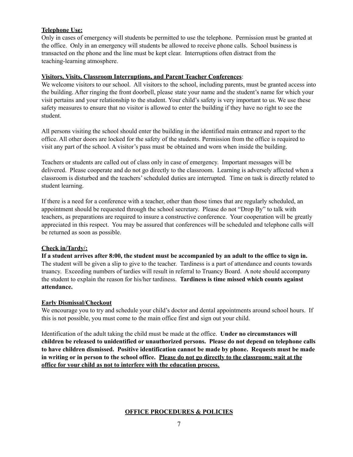# **Telephone Use:**

Only in cases of emergency will students be permitted to use the telephone. Permission must be granted at the office. Only in an emergency will students be allowed to receive phone calls. School business is transacted on the phone and the line must be kept clear. Interruptions often distract from the teaching-learning atmosphere.

## **Visitors, Visits, Classroom Interruptions, and Parent Teacher Conferences**:

We welcome visitors to our school. All visitors to the school, including parents, must be granted access into the building. After ringing the front doorbell, please state your name and the student's name for which your visit pertains and your relationship to the student. Your child's safety is very important to us. We use these safety measures to ensure that no visitor is allowed to enter the building if they have no right to see the student.

All persons visiting the school should enter the building in the identified main entrance and report to the office. All other doors are locked for the safety of the students. Permission from the office is required to visit any part of the school. A visitor's pass must be obtained and worn when inside the building.

Teachers or students are called out of class only in case of emergency. Important messages will be delivered. Please cooperate and do not go directly to the classroom. Learning is adversely affected when a classroom is disturbed and the teachers'scheduled duties are interrupted. Time on task is directly related to student learning.

If there is a need for a conference with a teacher, other than those times that are regularly scheduled, an appointment should be requested through the school secretary. Please do not "Drop By" to talk with teachers, as preparations are required to insure a constructive conference. Your cooperation will be greatly appreciated in this respect. You may be assured that conferences will be scheduled and telephone calls will be returned as soon as possible.

# **Check in/Tardy/:**

If a student arrives after 8:00, the student must be accompanied by an adult to the office to sign in. The student will be given a slip to give to the teacher. Tardiness is a part of attendance and counts towards truancy. Exceeding numbers of tardies will result in referral to Truancy Board. A note should accompany the student to explain the reason for his/her tardiness. **Tardiness is time missed which counts against attendance.**

# **Early Dismissal/Checkout**

We encourage you to try and schedule your child's doctor and dental appointments around school hours. If this is not possible, you must come to the main office first and sign out your child.

Identification of the adult taking the child must be made at the office. **Under no circumstances will children be released to unidentified or unauthorized persons. Please do not depend on telephone calls to have children dismissed. Positive identification cannot be made by phone. Requests must be made** in writing or in person to the school office. Please do not go directly to the classroom; wait at the **office for your child as not to interfere with the education process.**

# **OFFICE PROCEDURES & POLICIES**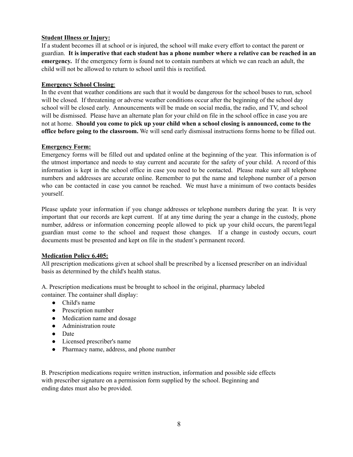# **Student Illness or Injury:**

If a student becomes ill at school or is injured, the school will make every effort to contact the parent or guardian. It is imperative that each student has a phone number where a relative can be reached in an **emergency.** If the emergency form is found not to contain numbers at which we can reach an adult, the child will not be allowed to return to school until this is rectified.

## **Emergency School Closing**:

In the event that weather conditions are such that it would be dangerous for the school buses to run, school will be closed. If threatening or adverse weather conditions occur after the beginning of the school day school will be closed early. Announcements will be made on social media, the radio, and TV, and school will be dismissed. Please have an alternate plan for your child on file in the school office in case you are not at home. **Should you come to pick up your child when a school closing is announced, come to the office before going to the classroom.** We will send early dismissal instructions forms home to be filled out.

#### **Emergency Form:**

Emergency forms will be filled out and updated online at the beginning of the year. This information is of the utmost importance and needs to stay current and accurate for the safety of your child. A record of this information is kept in the school office in case you need to be contacted. Please make sure all telephone numbers and addresses are accurate online. Remember to put the name and telephone number of a person who can be contacted in case you cannot be reached. We must have a minimum of two contacts besides yourself.

Please update your information if you change addresses or telephone numbers during the year. It is very important that our records are kept current. If at any time during the year a change in the custody, phone number, address or information concerning people allowed to pick up your child occurs, the parent/legal guardian must come to the school and request those changes. If a change in custody occurs, court documents must be presented and kept on file in the student's permanent record.

# **Medication Policy 6.405:**

All prescription medications given at school shall be prescribed by a licensed prescriber on an individual basis as determined by the child's health status.

A. Prescription medications must be brought to school in the original, pharmacy labeled container. The container shall display:

- Child's name
- Prescription number
- Medication name and dosage
- Administration route
- Date
- Licensed prescriber's name
- Pharmacy name, address, and phone number

B. Prescription medications require written instruction, information and possible side effects with prescriber signature on a permission form supplied by the school. Beginning and ending dates must also be provided.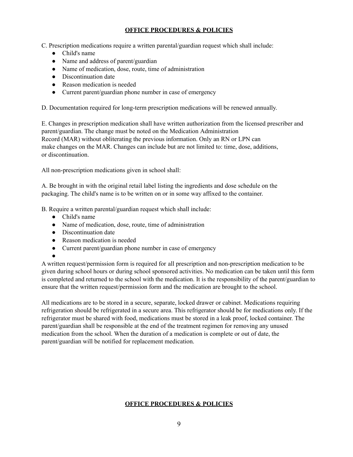# **OFFICE PROCEDURES & POLICIES**

C. Prescription medications require a written parental/guardian request which shall include:

- Child's name
- Name and address of parent/guardian
- Name of medication, dose, route, time of administration
- Discontinuation date
- Reason medication is needed
- Current parent/guardian phone number in case of emergency

D. Documentation required for long-term prescription medications will be renewed annually.

E. Changes in prescription medication shall have written authorization from the licensed prescriber and parent/guardian. The change must be noted on the Medication Administration Record (MAR) without obliterating the previous information. Only an RN or LPN can make changes on the MAR. Changes can include but are not limited to: time, dose, additions, or discontinuation.

All non-prescription medications given in school shall:

A. Be brought in with the original retail label listing the ingredients and dose schedule on the packaging. The child's name is to be written on or in some way affixed to the container.

B. Require a written parental/guardian request which shall include:

- Child's name
- Name of medication, dose, route, time of administration
- Discontinuation date
- Reason medication is needed
- Current parent/guardian phone number in case of emergency

●

A written request/permission form is required for all prescription and non-prescription medication to be given during school hours or during school sponsored activities. No medication can be taken until this form is completed and returned to the school with the medication. It is the responsibility of the parent/guardian to ensure that the written request/permission form and the medication are brought to the school.

All medications are to be stored in a secure, separate, locked drawer or cabinet. Medications requiring refrigeration should be refrigerated in a secure area. This refrigerator should be for medications only. If the refrigerator must be shared with food, medications must be stored in a leak proof, locked container. The parent/guardian shall be responsible at the end of the treatment regimen for removing any unused medication from the school. When the duration of a medication is complete or out of date, the parent/guardian will be notified for replacement medication.

# **OFFICE PROCEDURES & POLICIES**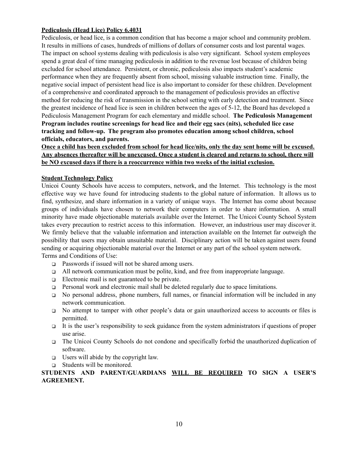# **Pediculosis (Head Lice) Policy 6.4031**

Pediculosis, or head lice, is a common condition that has become a major school and community problem. It results in millions of cases, hundreds of millions of dollars of consumer costs and lost parental wages. The impact on school systems dealing with pediculosis is also very significant. School system employees spend a great deal of time managing pediculosis in addition to the revenue lost because of children being excluded for school attendance. Persistent, or chronic, pediculosis also impacts student's academic performance when they are frequently absent from school, missing valuable instruction time. Finally, the negative social impact of persistent head lice is also important to consider for these children. Development of a comprehensive and coordinated approach to the management of pediculosis provides an effective method for reducing the risk of transmission in the school setting with early detection and treatment. Since the greatest incidence of head lice is seen in children between the ages of 5-12, the Board has developed a Pediculosis Management Program for each elementary and middle school. **The Pediculosis Management Program includes routine screenings for head lice and their egg sacs (nits), scheduled lice case tracking and follow-up. The program also promotes education among school children, school officials, educators, and parents.**

# Once a child has been excluded from school for head lice/nits, only the day sent home will be excused. **Any absences thereafter will be unexcused. Once a student is cleared and returns to school, there will be NO excused days if there is a reoccurrence within two weeks of the initial exclusion.**

# **Student Technology Policy**

Unicoi County Schools have access to computers, network, and the Internet. This technology is the most effective way we have found for introducing students to the global nature of information. It allows us to find, synthesize, and share information in a variety of unique ways. The Internet has come about because groups of individuals have chosen to network their computers in order to share information. A small minority have made objectionable materials available over the Internet. The Unicoi County School System takes every precaution to restrict access to this information. However, an industrious user may discover it. We firmly believe that the valuable information and interaction available on the Internet far outweigh the possibility that users may obtain unsuitable material. Disciplinary action will be taken against users found sending or acquiring objectionable material over the Internet or any part of the school system network. Terms and Conditions of Use:

- ❑ Passwords if issued will not be shared among users.
- $\Box$  All network communication must be polite, kind, and free from inappropriate language.
- ❑ Electronic mail is not guaranteed to be private.
- ❑ Personal work and electronic mail shall be deleted regularly due to space limitations.
- ❑ No personal address, phone numbers, full names, or financial information will be included in any network communication.
- ❑ No attempt to tamper with other people's data or gain unauthorized access to accounts or files is permitted.
- It is the user's responsibility to seek guidance from the system administrators if questions of proper use arise.
- ❑ The Unicoi County Schools do not condone and specifically forbid the unauthorized duplication of software.
- □ Users will abide by the copyright law.
- ❑ Students will be monitored.

**STUDENTS AND PARENT/GUARDIANS WILL BE REQUIRED TO SIGN A USER'S AGREEMENT.**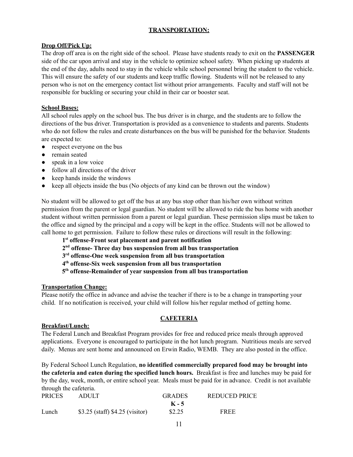# **TRANSPORTATION:**

# **Drop Off/Pick Up:**

The drop off area is on the right side of the school. Please have students ready to exit on the **PASSENGER** side of the car upon arrival and stay in the vehicle to optimize school safety. When picking up students at the end of the day, adults need to stay in the vehicle while school personnel bring the student to the vehicle. This will ensure the safety of our students and keep traffic flowing. Students will not be released to any person who is not on the emergency contact list without prior arrangements. Faculty and staff will not be responsible for buckling or securing your child in their car or booster seat.

# **School Buses:**

All school rules apply on the school bus. The bus driver is in charge, and the students are to follow the directions of the bus driver. Transportation is provided as a convenience to students and parents. Students who do not follow the rules and create disturbances on the bus will be punished for the behavior. Students are expected to:

- respect everyone on the bus
- remain seated
- speak in a low voice
- follow all directions of the driver
- keep hands inside the windows
- keep all objects inside the bus (No objects of any kind can be thrown out the window)

No student will be allowed to get off the bus at any bus stop other than his/her own without written permission from the parent or legal guardian. No student will be allowed to ride the bus home with another student without written permission from a parent or legal guardian. These permission slips must be taken to the office and signed by the principal and a copy will be kept in the office. Students will not be allowed to call home to get permission. Failure to follow these rules or directions will result in the following:

- **1 st offense-Front seat placement and parent notification**
- **2 nd offense- Three day bus suspension from all bus transportation**
- **3 rd offense-One week suspension from all bus transportation**
- **4 th offense-Six week suspension from all bus transportation**
- **5 th offense-Remainder of year suspension from all bus transportation**

#### **Transportation Change:**

Please notify the office in advance and advise the teacher if there is to be a change in transporting your child. If no notification is received, your child will follow his/her regular method of getting home.

#### **CAFETERIA**

#### **Breakfast/Lunch:**

The Federal Lunch and Breakfast Program provides for free and reduced price meals through approved applications. Everyone is encouraged to participate in the hot lunch program. Nutritious meals are served daily. Menus are sent home and announced on Erwin Radio, WEMB. They are also posted in the office.

By Federal School Lunch Regulation, **no identified commercially prepared food may be brought into the cafeteria and eaten during the specified lunch hours.** Breakfast is free and lunches may be paid for by the day, week, month, or entire school year. Meals must be paid for in advance. Credit is not available through the cafeteria.

| <b>PRICES</b> | ADULT                             | <b>GRADES</b> | REDUCED PRICE |
|---------------|-----------------------------------|---------------|---------------|
|               |                                   | $K - 5$       |               |
| Lunch         | $$3.25$ (staff) $$4.25$ (visitor) | \$2.25        | <b>FREE</b>   |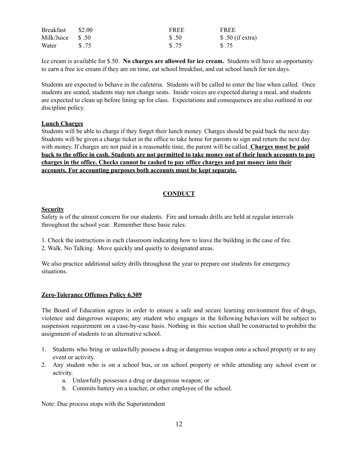| <b>Breakfast</b>  | \$2.00 | <b>FREE</b> | <b>FREE</b>       |
|-------------------|--------|-------------|-------------------|
| Milk/Juice $$.50$ |        | \$.50       | $$.50$ (if extra) |
| Water             | \$.75  | \$.75       | \$ 75             |

Ice cream is available for \$.50. **No charges are allowed for ice cream.** Students will have an opportunity to earn a free ice cream if they are on time, eat school breakfast, and eat school lunch for ten days.

Students are expected to behave in the cafeteria. Students will be called to enter the line when called. Once students are seated, students may not change seats. Inside voices are expected during a meal, and students are expected to clean up before lining up for class. Expectations and consequences are also outlined in our discipline policy.

#### **Lunch Charges**

Students will be able to charge if they forget their lunch money. Charges should be paid back the next day. Students will be given a charge ticket in the office to take home for parents to sign and return the next day with money. If charges are not paid in a reasonable time, the parent will be called. **Charges must be paid** back to the office in cash. Students are not permitted to take money out of their lunch accounts to pay **charges in the office. Checks cannot be cashed to pay office charges and put money into their accounts. For accounting purposes both accounts must be kept separate.**

# **CONDUCT**

#### **Security**

Safety is of the utmost concern for our students. Fire and tornado drills are held at regular intervals throughout the school year. Remember these basic rules:

1. Check the instructions in each classroom indicating how to leave the building in the case of fire. 2. Walk. No Talking. Move quickly and quietly to designated areas.

We also practice additional safety drills throughout the year to prepare our students for emergency situations.

#### **Zero-Tolerance Offenses Policy 6.309**

The Board of Education agrees in order to ensure a safe and secure learning environment free of drugs, violence and dangerous weapons; any student who engages in the following behaviors will be subject to suspension requirement on a case-by-case basis. Nothing in this section shall be constructed to prohibit the assignment of students to an alternative school.

- 1. Students who bring or unlawfully possess a drug or dangerous weapon onto a school property or to any event or activity.
- 2. Any student who is on a school bus, or on school property or while attending any school event or activity.
	- a. Unlawfully possesses a drug or dangerous weapon; or
	- b. Commits battery on a teacher, or other employee of the school.

Note: Due process stops with the Superintendent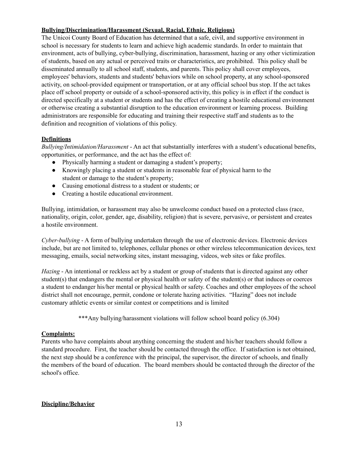# **Bullying/Discrimination/Harassment (Sexual, Racial, Ethnic, Religious)**

The Unicoi County Board of Education has determined that a safe, civil, and supportive environment in school is necessary for students to learn and achieve high academic standards. In order to maintain that environment, acts of bullying, cyber-bullying, discrimination, harassment, hazing or any other victimization of students, based on any actual or perceived traits or characteristics, are prohibited. This policy shall be disseminated annually to all school staff, students, and parents. This policy shall cover employees, employees' behaviors, students and students' behaviors while on school property, at any school-sponsored activity, on school-provided equipment or transportation, or at any official school bus stop. If the act takes place off school property or outside of a school-sponsored activity, this policy is in effect if the conduct is directed specifically at a student or students and has the effect of creating a hostile educational environment or otherwise creating a substantial disruption to the education environment or learning process. Building administrators are responsible for educating and training their respective staff and students as to the definition and recognition of violations of this policy.

# **Definitions**

*Bullying/Intimidation/Harassment* - An act that substantially interferes with a student's educational benefits, opportunities, or performance, and the act has the effect of:

- Physically harming a student or damaging a student's property;
- Knowingly placing a student or students in reasonable fear of physical harm to the student or damage to the student's property;
- Causing emotional distress to a student or students; or
- Creating a hostile educational environment.

Bullying, intimidation, or harassment may also be unwelcome conduct based on a protected class (race, nationality, origin, color, gender, age, disability, religion) that is severe, pervasive, or persistent and creates a hostile environment.

*Cyber-bullying* - A form of bullying undertaken through the use of electronic devices. Electronic devices include, but are not limited to, telephones, cellular phones or other wireless telecommunication devices, text messaging, emails, social networking sites, instant messaging, videos, web sites or fake profiles.

*Hazing* - An intentional or reckless act by a student or group of students that is directed against any other student(s) that endangers the mental or physical health or safety of the student(s) or that induces or coerces a student to endanger his/her mental or physical health or safety. Coaches and other employees of the school district shall not encourage, permit, condone or tolerate hazing activities. "Hazing" does not include customary athletic events or similar contest or competitions and is limited

\*\*\*Any bullying/harassment violations will follow school board policy (6.304)

# **Complaints:**

Parents who have complaints about anything concerning the student and his/her teachers should follow a standard procedure. First, the teacher should be contacted through the office. If satisfaction is not obtained, the next step should be a conference with the principal, the supervisor, the director of schools, and finally the members of the board of education. The board members should be contacted through the director of the school's office.

# **Discipline/Behavior**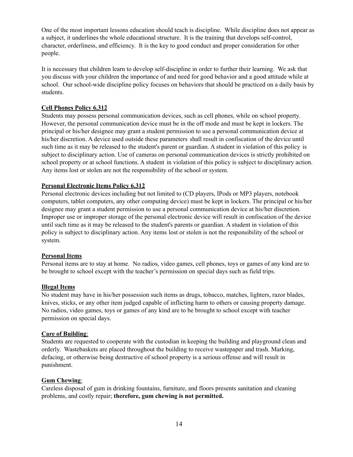One of the most important lessons education should teach is discipline. While discipline does not appear as a subject, it underlines the whole educational structure. It is the training that develops self-control, character, orderliness, and efficiency. It is the key to good conduct and proper consideration for other people.

It is necessary that children learn to develop self-discipline in order to further their learning. We ask that you discuss with your children the importance of and need for good behavior and a good attitude while at school. Our school-wide discipline policy focuses on behaviors that should be practiced on a daily basis by students.

## **Cell Phones Policy 6.312**

Students may possess personal communication devices, such as cell phones, while on school property. However, the personal communication device must be in the off mode and must be kept in lockers. The principal or his/her designee may grant a student permission to use a personal communication device at his/her discretion. A device used outside these parameters shall result in confiscation of the device until such time as it may be released to the student's parent or guardian. A student in violation of this policy is subject to disciplinary action. Use of cameras on personal communication devices is strictly prohibited on school property or at school functions. A student in violation of this policy is subject to disciplinary action. Any items lost or stolen are not the responsibility of the school or system.

#### **Personal Electronic Items Policy 6.312**

Personal electronic devices including but not limited to (CD players, IPods or MP3 players, notebook computers, tablet computers, any other computing device) must be kept in lockers. The principal or his/her designee may grant a student permission to use a personal communication device at his/her discretion. Improper use or improper storage of the personal electronic device will result in confiscation of the device until such time as it may be released to the student's parents or guardian. A student in violation of this policy is subject to disciplinary action. Any items lost or stolen is not the responsibility of the school or system.

#### **Personal Items**

Personal items are to stay at home. No radios, video games, cell phones, toys or games of any kind are to be brought to school except with the teacher's permission on special days such as field trips.

#### **Illegal Items**

No student may have in his/her possession such items as drugs, tobacco, matches, lighters, razor blades, knives, sticks, or any other item judged capable of inflicting harm to others or causing property damage. No radios, video games, toys or games of any kind are to be brought to school except with teacher permission on special days.

#### **Care of Building**:

Students are requested to cooperate with the custodian in keeping the building and playground clean and orderly. Wastebaskets are placed throughout the building to receive wastepaper and trash. Marking, defacing, or otherwise being destructive of school property is a serious offense and will result in punishment.

#### **Gum Chewing**:

Careless disposal of gum in drinking fountains, furniture, and floors presents sanitation and cleaning problems, and costly repair; **therefore, gum chewing is not permitted.**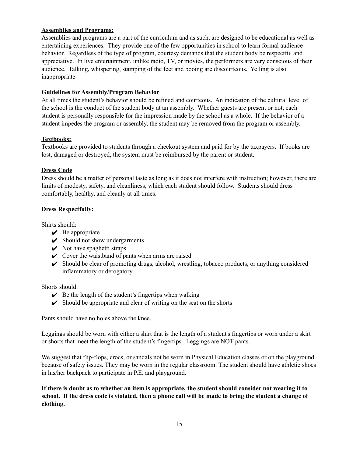# **Assemblies and Programs:**

Assemblies and programs are a part of the curriculum and as such, are designed to be educational as well as entertaining experiences. They provide one of the few opportunities in school to learn formal audience behavior. Regardless of the type of program, courtesy demands that the student body be respectful and appreciative. In live entertainment, unlike radio, TV, or movies, the performers are very conscious of their audience. Talking, whispering, stamping of the feet and booing are discourteous. Yelling is also inappropriate.

## **Guidelines for Assembly/Program Behavior**

At all times the student's behavior should be refined and courteous. An indication of the cultural level of the school is the conduct of the student body at an assembly. Whether guests are present or not, each student is personally responsible for the impression made by the school as a whole. If the behavior of a student impedes the program or assembly, the student may be removed from the program or assembly.

## **Textbooks:**

Textbooks are provided to students through a checkout system and paid for by the taxpayers. If books are lost, damaged or destroyed, the system must be reimbursed by the parent or student.

## **Dress Code**

Dress should be a matter of personal taste as long as it does not interfere with instruction; however, there are limits of modesty, safety, and cleanliness, which each student should follow. Students should dress comfortably, healthy, and cleanly at all times.

## **Dress Respectfully:**

Shirts should:

- $\vee$  Be appropriate
- $\triangleright$  Should not show undergarments
- $\vee$  Not have spaghetti straps
- $\vee$  Cover the waistband of pants when arms are raised
- ✔ Should be clear of promoting drugs, alcohol, wrestling, tobacco products, or anything considered inflammatory or derogatory

Shorts should:

- $\triangleright$  Be the length of the student's fingertips when walking
- $\triangleright$  Should be appropriate and clear of writing on the seat on the shorts

Pants should have no holes above the knee.

Leggings should be worn with either a shirt that is the length of a student's fingertips or worn under a skirt or shorts that meet the length of the student's fingertips. Leggings are NOT pants.

We suggest that flip-flops, crocs, or sandals not be worn in Physical Education classes or on the playground because of safety issues. They may be worn in the regular classroom. The student should have athletic shoes in his/her backpack to participate in P.E. and playground.

If there is doubt as to whether an item is appropriate, the student should consider not wearing it to school. If the dress code is violated, then a phone call will be made to bring the student a change of **clothing.**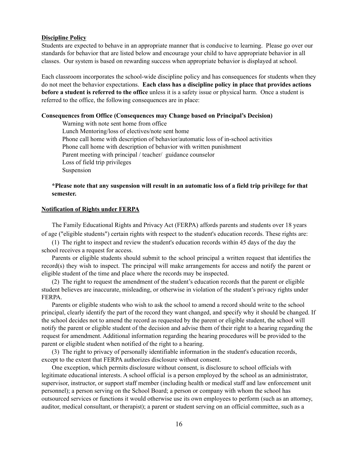#### **Discipline Policy**

Students are expected to behave in an appropriate manner that is conducive to learning. Please go over our standards for behavior that are listed below and encourage your child to have appropriate behavior in all classes. Our system is based on rewarding success when appropriate behavior is displayed at school.

Each classroom incorporates the school-wide discipline policy and has consequences for students when they do not meet the behavior expectations. **Each class has a discipline policy in place that provides actions before a student is referred to the office** unless it is a safety issue or physical harm. Once a student is referred to the office, the following consequences are in place:

#### **Consequences from Office (Consequences may Change based on Principal's Decision)**

Warning with note sent home from office Lunch Mentoring/loss of electives/note sent home Phone call home with description of behavior/automatic loss of in-school activities Phone call home with description of behavior with written punishment Parent meeting with principal / teacher/ guidance counselor Loss of field trip privileges Suspension

#### \*Please note that any suspension will result in an automatic loss of a field trip privilege for that **semester.**

#### **Notification of Rights under FERPA**

The Family Educational Rights and Privacy Act (FERPA) affords parents and students over 18 years of age ("eligible students") certain rights with respect to the student's education records. These rights are:

(1) The right to inspect and review the student's education records within 45 days of the day the school receives a request for access.

Parents or eligible students should submit to the school principal a written request that identifies the record(s) they wish to inspect. The principal will make arrangements for access and notify the parent or eligible student of the time and place where the records may be inspected.

(2) The right to request the amendment of the student's education records that the parent or eligible student believes are inaccurate, misleading, or otherwise in violation of the student's privacy rights under **FERPA** 

Parents or eligible students who wish to ask the school to amend a record should write to the school principal, clearly identify the part of the record they want changed, and specify why it should be changed. If the school decides not to amend the record as requested by the parent or eligible student, the school will notify the parent or eligible student of the decision and advise them of their right to a hearing regarding the request for amendment. Additional information regarding the hearing procedures will be provided to the parent or eligible student when notified of the right to a hearing.

(3) The right to privacy of personally identifiable information in the student's education records, except to the extent that FERPA authorizes disclosure without consent.

One exception, which permits disclosure without consent, is disclosure to school officials with legitimate educational interests. A school official is a person employed by the school as an administrator, supervisor, instructor, or support staff member (including health or medical staff and law enforcement unit personnel); a person serving on the School Board; a person or company with whom the school has outsourced services or functions it would otherwise use its own employees to perform (such as an attorney, auditor, medical consultant, or therapist); a parent or student serving on an official committee, such as a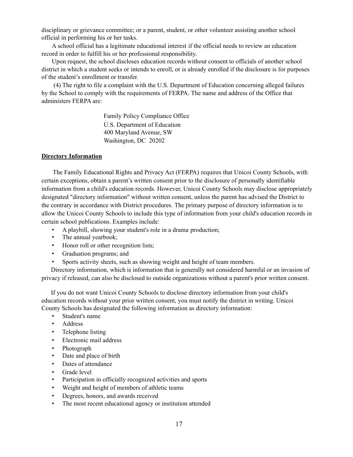disciplinary or grievance committee; or a parent, student, or other volunteer assisting another school official in performing his or her tasks.

A school official has a legitimate educational interest if the official needs to review an education record in order to fulfill his or her professional responsibility.

Upon request, the school discloses education records without consent to officials of another school district in which a student seeks or intends to enroll, or is already enrolled if the disclosure is for purposes of the student's enrollment or transfer.

(4) The right to file a complaint with the U.S. Department of Education concerning alleged failures by the School to comply with the requirements of FERPA. The name and address of the Office that administers FERPA are:

> Family Policy Compliance Office U.S. Department of Education 400 Maryland Avenue, SW Washington, DC 20202

#### **Directory Information**

The Family Educational Rights and Privacy Act (FERPA) requires that Unicoi County Schools, with certain exceptions, obtain a parent's written consent prior to the disclosure of personally identifiable information from a child's education records. However, Unicoi County Schools may disclose appropriately designated "directory information" without written consent, unless the parent has advised the District to the contrary in accordance with District procedures. The primary purpose of directory information is to allow the Unicoi County Schools to include this type of information from your child's education records in certain school publications. Examples include:

- A playbill, showing your student's role in a drama production;
- The annual yearbook;
- Honor roll or other recognition lists;
- Graduation programs; and
- Sports activity sheets, such as showing weight and height of team members.

Directory information, which is information that is generally not considered harmful or an invasion of privacy if released, can also be disclosed to outside organizations without a parent's prior written consent.

If you do not want Unicoi County Schools to disclose directory information from your child's education records without your prior written consent, you must notify the district in writing. Unicoi County Schools has designated the following information as directory information:

- Student's name
- **Address**
- Telephone listing
- Electronic mail address
- Photograph
- Date and place of birth
- Dates of attendance
- Grade level
- Participation in officially recognized activities and sports
- Weight and height of members of athletic teams
- Degrees, honors, and awards received
- The most recent educational agency or institution attended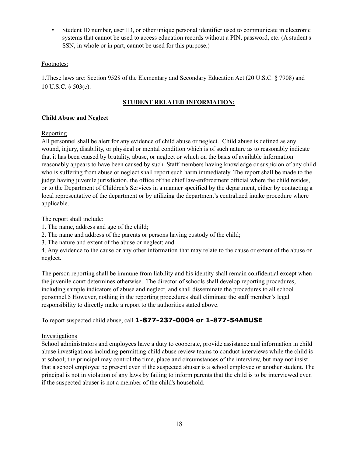• Student ID number, user ID, or other unique personal identifier used to communicate in electronic systems that cannot be used to access education records without a PIN, password, etc. (A student's SSN, in whole or in part, cannot be used for this purpose.)

# Footnotes:

1.These laws are: Section 9528 of the Elementary and Secondary Education Act (20 U.S.C. § 7908) and 10 U.S.C. § 503(c).

## **STUDENT RELATED INFORMATION:**

## **Child Abuse and Neglect**

## Reporting

All personnel shall be alert for any evidence of child abuse or neglect. Child abuse is defined as any wound, injury, disability, or physical or mental condition which is of such nature as to reasonably indicate that it has been caused by brutality, abuse, or neglect or which on the basis of available information reasonably appears to have been caused by such. Staff members having knowledge or suspicion of any child who is suffering from abuse or neglect shall report such harm immediately. The report shall be made to the judge having juvenile jurisdiction, the office of the chief law-enforcement official where the child resides, or to the Department of Children's Services in a manner specified by the department, either by contacting a local representative of the department or by utilizing the department's centralized intake procedure where applicable.

The report shall include:

- 1. The name, address and age of the child;
- 2. The name and address of the parents or persons having custody of the child;
- 3. The nature and extent of the abuse or neglect; and

4. Any evidence to the cause or any other information that may relate to the cause or extent of the abuse or neglect.

The person reporting shall be immune from liability and his identity shall remain confidential except when the juvenile court determines otherwise. The director of schools shall develop reporting procedures, including sample indicators of abuse and neglect, and shall disseminate the procedures to all school personnel.5 However, nothing in the reporting procedures shall eliminate the staff member's legal responsibility to directly make a report to the authorities stated above.

To report suspected child abuse, call **1-877-237-0004 or 1-877-54ABUSE**

#### Investigations

School administrators and employees have a duty to cooperate, provide assistance and information in child abuse investigations including permitting child abuse review teams to conduct interviews while the child is at school; the principal may control the time, place and circumstances of the interview, but may not insist that a school employee be present even if the suspected abuser is a school employee or another student. The principal is not in violation of any laws by failing to inform parents that the child is to be interviewed even if the suspected abuser is not a member of the child's household.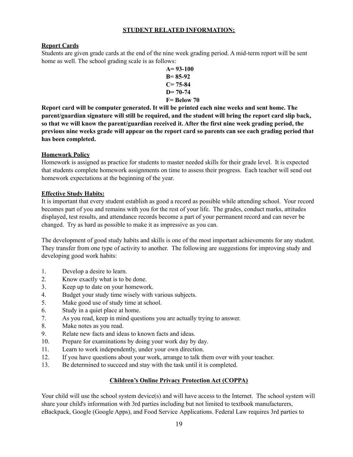## **STUDENT RELATED INFORMATION:**

## **Report Cards**

Students are given grade cards at the end of the nine week grading period. A mid-term report will be sent home as well. The school grading scale is as follows:

$$
A=93-100\nB=85-92\nC=75-84\nD=70-74\nF= Below 70
$$

**Report card will be computer generated. It will be printed each nine weeks and sent home. The parent/guardian signature will still be required, and the student will bring the report card slip back, so that we will know the parent/guardian received it. After the first nine week grading period, the** previous nine weeks grade will appear on the report card so parents can see each grading period that **has been completed.**

## **Homework Policy**

Homework is assigned as practice for students to master needed skills for their grade level. It is expected that students complete homework assignments on time to assess their progress. Each teacher will send out homework expectations at the beginning of the year.

## **Effective Study Habits:**

It is important that every student establish as good a record as possible while attending school. Your record becomes part of you and remains with you for the rest of your life. The grades, conduct marks, attitudes displayed, test results, and attendance records become a part of your permanent record and can never be changed. Try as hard as possible to make it as impressive as you can.

The development of good study habits and skills is one of the most important achievements for any student. They transfer from one type of activity to another. The following are suggestions for improving study and developing good work habits:

- 1. Develop a desire to learn.
- 2. Know exactly what is to be done.
- 3. Keep up to date on your homework.
- 4. Budget your study time wisely with various subjects.
- 5. Make good use of study time at school.
- 6. Study in a quiet place at home.
- 7. As you read, keep in mind questions you are actually trying to answer.
- 8. Make notes as you read.
- 9. Relate new facts and ideas to known facts and ideas.
- 10. Prepare for examinations by doing your work day by day.
- 11. Learn to work independently, under your own direction.
- 12. If you have questions about your work, arrange to talk them over with your teacher.
- 13. Be determined to succeed and stay with the task until it is completed.

# **Children's Online Privacy Protection Act (COPPA)**

Your child will use the school system device(s) and will have access to the Internet. The school system will share your child's information with 3rd parties including but not limited to textbook manufacturers, eBackpack, Google (Google Apps), and Food Service Applications. Federal Law requires 3rd parties to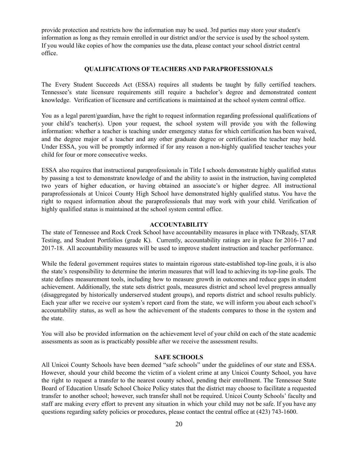provide protection and restricts how the information may be used. 3rd parties may store your student's information as long as they remain enrolled in our district and/or the service is used by the school system. If you would like copies of how the companies use the data, please contact your school district central office.

#### **QUALIFICATIONS OF TEACHERS AND PARAPROFESSIONALS**

The Every Student Succeeds Act (ESSA) requires all students be taught by fully certified teachers. Tennessee's state licensure requirements still require a bachelor's degree and demonstrated content knowledge. Verification of licensure and certifications is maintained at the school system central office.

You as a legal parent/guardian, have the right to request information regarding professional qualifications of your child's teacher(s). Upon your request, the school system will provide you with the following information: whether a teacher is teaching under emergency status for which certification has been waived, and the degree major of a teacher and any other graduate degree or certification the teacher may hold. Under ESSA, you will be promptly informed if for any reason a non-highly qualified teacher teaches your child for four or more consecutive weeks.

ESSA also requires that instructional paraprofessionals in Title I schools demonstrate highly qualified status by passing a test to demonstrate knowledge of and the ability to assist in the instruction, having completed two years of higher education, or having obtained an associate's or higher degree. All instructional paraprofessionals at Unicoi County High School have demonstrated highly qualified status. You have the right to request information about the paraprofessionals that may work with your child. Verification of highly qualified status is maintained at the school system central office.

#### **ACCOUNTABILITY**

The state of Tennessee and Rock Creek School have accountability measures in place with TNReady, STAR Testing, and Student Portfolios (grade K). Currently, accountability ratings are in place for 2016-17 and 2017-18. All accountability measures will be used to improve student instruction and teacher performance.

While the federal government requires states to maintain rigorous state-established top-line goals, it is also the state's responsibility to determine the interim measures that will lead to achieving its top-line goals. The state defines measurement tools, including how to measure growth in outcomes and reduce gaps in student achievement. Additionally, the state sets district goals, measures district and school level progress annually (disaggregated by historically underserved student groups), and reports district and school results publicly. Each year after we receive our system's report card from the state, we will inform you about each school's accountability status, as well as how the achievement of the students compares to those in the system and the state.

You will also be provided information on the achievement level of your child on each of the state academic assessments as soon as is practicably possible after we receive the assessment results.

#### **SAFE SCHOOLS**

All Unicoi County Schools have been deemed "safe schools" under the guidelines of our state and ESSA. However, should your child become the victim of a violent crime at any Unicoi County School, you have the right to request a transfer to the nearest county school, pending their enrollment. The Tennessee State Board of Education Unsafe School Choice Policy states that the district may choose to facilitate a requested transfer to another school; however, such transfer shall not be required. Unicoi County Schools' faculty and staff are making every effort to prevent any situation in which your child may not be safe. If you have any questions regarding safety policies or procedures, please contact the central office at (423) 743-1600.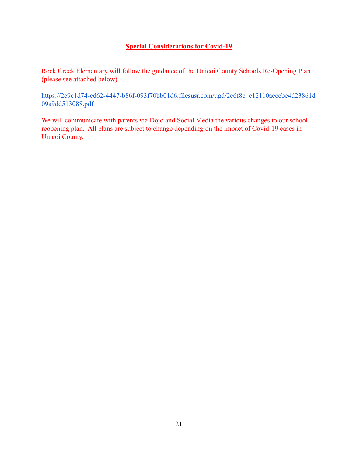# **Special Considerations for Covid-19**

Rock Creek Elementary will follow the guidance of the Unicoi County Schools Re-Opening Plan (please see attached below).

[https://2e9c1d74-cd62-4447-b86f-093f70bb01d6.filesusr.com/ugd/2c6f8c\\_e12110aecebe4d23861d](https://2e9c1d74-cd62-4447-b86f-093f70bb01d6.filesusr.com/ugd/2c6f8c_e12110aecebe4d23861d09a9dd513088.pdf) [09a9dd513088.pdf](https://2e9c1d74-cd62-4447-b86f-093f70bb01d6.filesusr.com/ugd/2c6f8c_e12110aecebe4d23861d09a9dd513088.pdf)

We will communicate with parents via Dojo and Social Media the various changes to our school reopening plan. All plans are subject to change depending on the impact of Covid-19 cases in Unicoi County.